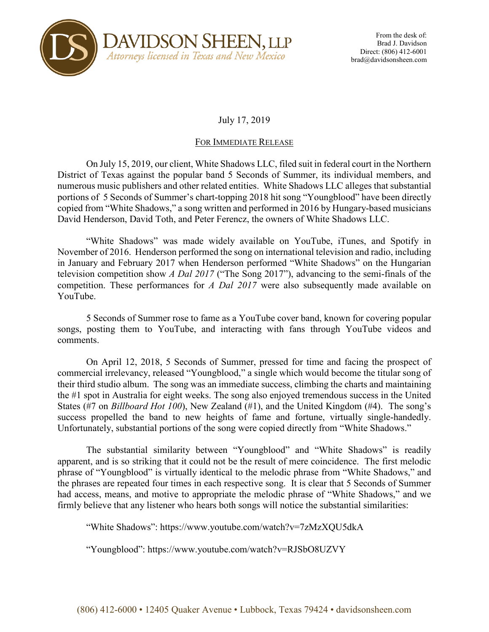

## July 17, 2019

## FOR IMMEDIATE RELEASE

On July 15, 2019, our client, White Shadows LLC, filed suit in federal court in the Northern District of Texas against the popular band 5 Seconds of Summer, its individual members, and numerous music publishers and other related entities. White Shadows LLC alleges that substantial portions of 5 Seconds of Summer's chart-topping 2018 hit song "Youngblood" have been directly copied from "White Shadows," a song written and performed in 2016 by Hungary-based musicians David Henderson, David Toth, and Peter Ferencz, the owners of White Shadows LLC.

"White Shadows" was made widely available on YouTube, iTunes, and Spotify in November of 2016. Henderson performed the song on international television and radio, including in January and February 2017 when Henderson performed "White Shadows" on the Hungarian television competition show *A Dal 2017* ("The Song 2017"), advancing to the semi-finals of the competition. These performances for *A Dal 2017* were also subsequently made available on YouTube.

5 Seconds of Summer rose to fame as a YouTube cover band, known for covering popular songs, posting them to YouTube, and interacting with fans through YouTube videos and comments.

On April 12, 2018, 5 Seconds of Summer, pressed for time and facing the prospect of commercial irrelevancy, released "Youngblood," a single which would become the titular song of their third studio album. The song was an immediate success, climbing the charts and maintaining the #1 spot in Australia for eight weeks. The song also enjoyed tremendous success in the United States (#7 on *Billboard Hot 100*), New Zealand (#1), and the United Kingdom (#4). The song's success propelled the band to new heights of fame and fortune, virtually single-handedly. Unfortunately, substantial portions of the song were copied directly from "White Shadows."

The substantial similarity between "Youngblood" and "White Shadows" is readily apparent, and is so striking that it could not be the result of mere coincidence. The first melodic phrase of "Youngblood" is virtually identical to the melodic phrase from "White Shadows," and the phrases are repeated four times in each respective song. It is clear that 5 Seconds of Summer had access, means, and motive to appropriate the melodic phrase of "White Shadows," and we firmly believe that any listener who hears both songs will notice the substantial similarities:

"White Shadows": https://www.youtube.com/watch?v=7zMzXQU5dkA

"Youngblood": https://www.youtube.com/watch?v=RJSbO8UZVY